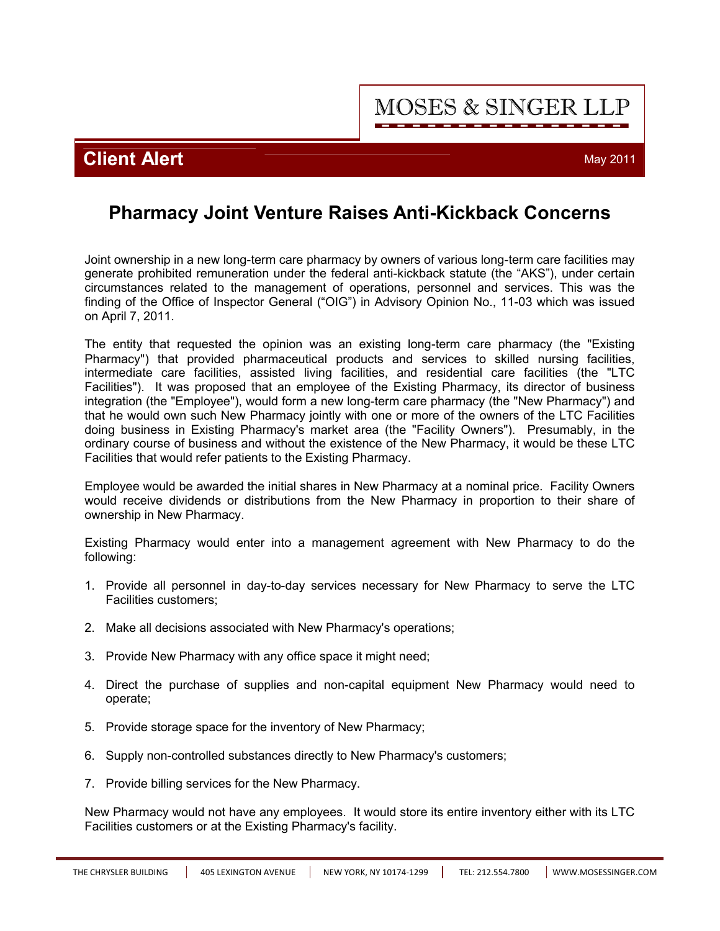## **Client Alert** May 2011

## **Pharmacy Joint Venture Raises Anti-Kickback Concerns**

Joint ownership in a new long-term care pharmacy by owners of various long-term care facilities may generate prohibited remuneration under the federal anti-kickback statute (the "AKS"), under certain circumstances related to the management of operations, personnel and services. This was the finding of the Office of Inspector General ("OIG") in Advisory Opinion No., 11-03 which was issued on April 7, 2011.

The entity that requested the opinion was an existing long-term care pharmacy (the "Existing Pharmacy") that provided pharmaceutical products and services to skilled nursing facilities, intermediate care facilities, assisted living facilities, and residential care facilities (the "LTC Facilities"). It was proposed that an employee of the Existing Pharmacy, its director of business integration (the "Employee"), would form a new long-term care pharmacy (the "New Pharmacy") and that he would own such New Pharmacy jointly with one or more of the owners of the LTC Facilities doing business in Existing Pharmacy's market area (the "Facility Owners"). Presumably, in the ordinary course of business and without the existence of the New Pharmacy, it would be these LTC Facilities that would refer patients to the Existing Pharmacy.

Employee would be awarded the initial shares in New Pharmacy at a nominal price. Facility Owners would receive dividends or distributions from the New Pharmacy in proportion to their share of ownership in New Pharmacy.

Existing Pharmacy would enter into a management agreement with New Pharmacy to do the following:

- 1. Provide all personnel in day-to-day services necessary for New Pharmacy to serve the LTC Facilities customers;
- 2. Make all decisions associated with New Pharmacy's operations;
- 3. Provide New Pharmacy with any office space it might need;
- 4. Direct the purchase of supplies and non-capital equipment New Pharmacy would need to operate;
- 5. Provide storage space for the inventory of New Pharmacy;
- 6. Supply non-controlled substances directly to New Pharmacy's customers;
- 7. Provide billing services for the New Pharmacy.

New Pharmacy would not have any employees. It would store its entire inventory either with its LTC Facilities customers or at the Existing Pharmacy's facility.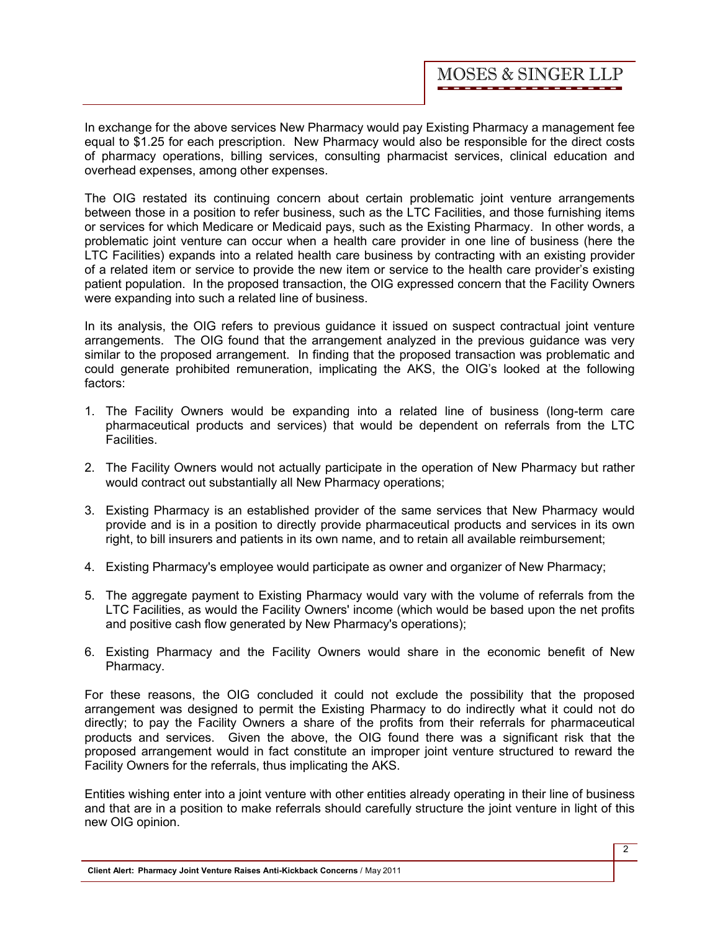In exchange for the above services New Pharmacy would pay Existing Pharmacy a management fee equal to \$1.25 for each prescription. New Pharmacy would also be responsible for the direct costs of pharmacy operations, billing services, consulting pharmacist services, clinical education and overhead expenses, among other expenses.

The OIG restated its continuing concern about certain problematic joint venture arrangements between those in a position to refer business, such as the LTC Facilities, and those furnishing items or services for which Medicare or Medicaid pays, such as the Existing Pharmacy. In other words, a problematic joint venture can occur when a health care provider in one line of business (here the LTC Facilities) expands into a related health care business by contracting with an existing provider of a related item or service to provide the new item or service to the health care provider's existing patient population. In the proposed transaction, the OIG expressed concern that the Facility Owners were expanding into such a related line of business.

In its analysis, the OIG refers to previous guidance it issued on suspect contractual joint venture arrangements. The OIG found that the arrangement analyzed in the previous guidance was very similar to the proposed arrangement. In finding that the proposed transaction was problematic and could generate prohibited remuneration, implicating the AKS, the OIG's looked at the following factors:

- 1. The Facility Owners would be expanding into a related line of business (long-term care pharmaceutical products and services) that would be dependent on referrals from the LTC Facilities.
- 2. The Facility Owners would not actually participate in the operation of New Pharmacy but rather would contract out substantially all New Pharmacy operations;
- 3. Existing Pharmacy is an established provider of the same services that New Pharmacy would provide and is in a position to directly provide pharmaceutical products and services in its own right, to bill insurers and patients in its own name, and to retain all available reimbursement;
- 4. Existing Pharmacy's employee would participate as owner and organizer of New Pharmacy;
- 5. The aggregate payment to Existing Pharmacy would vary with the volume of referrals from the LTC Facilities, as would the Facility Owners' income (which would be based upon the net profits and positive cash flow generated by New Pharmacy's operations);
- 6. Existing Pharmacy and the Facility Owners would share in the economic benefit of New Pharmacy.

For these reasons, the OIG concluded it could not exclude the possibility that the proposed arrangement was designed to permit the Existing Pharmacy to do indirectly what it could not do directly; to pay the Facility Owners a share of the profits from their referrals for pharmaceutical products and services. Given the above, the OIG found there was a significant risk that the proposed arrangement would in fact constitute an improper joint venture structured to reward the Facility Owners for the referrals, thus implicating the AKS.

Entities wishing enter into a joint venture with other entities already operating in their line of business and that are in a position to make referrals should carefully structure the joint venture in light of this new OIG opinion.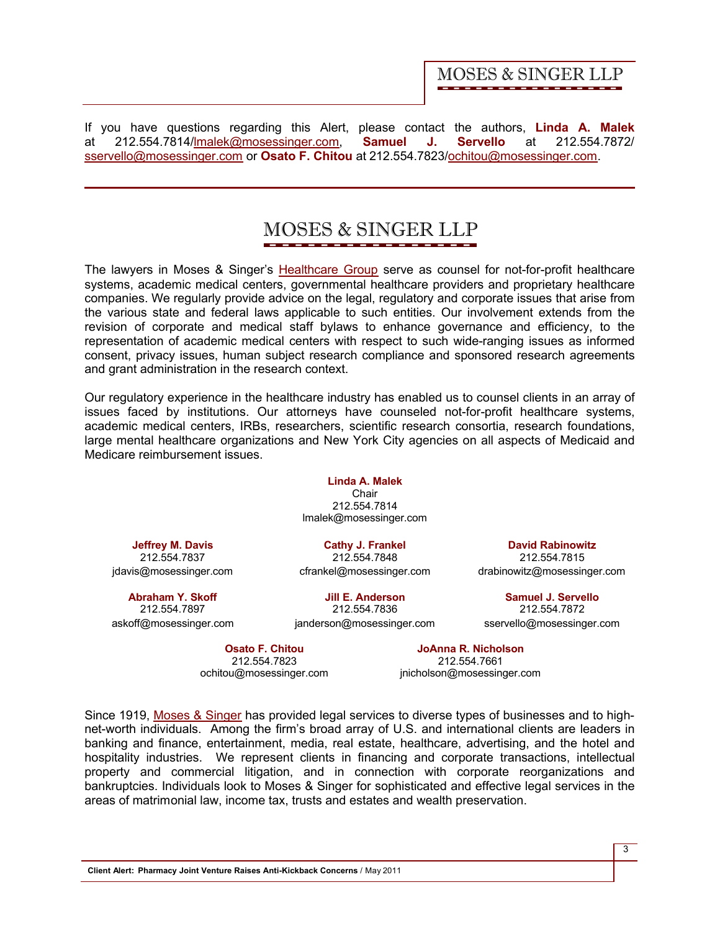If you have questions regarding this Alert, please contact the authors, **[Linda A. Malek](http://www.mosessinger.com/personnel/lmalek/)** at 212.554.7814/lmalek@mosessinger.com, **[Samuel J. Servello](http://www.mosessinger.com/personnel/sservello/)** at 212.554.7872/ sservello@mosessinger.com or **[Osato F. Chitou](http://www.mosessinger.com/personnel/ochitou/)** at 212.554.7823/ochitou@mosessinger.com.

# **MOSES & SINGER LLP**

The lawyers in Moses & Singer's [Healthcare Group](http://www.mosessinger.com/Healthcare/) serve as counsel for not-for-profit healthcare systems, academic medical centers, governmental healthcare providers and proprietary healthcare companies. We regularly provide advice on the legal, regulatory and corporate issues that arise from the various state and federal laws applicable to such entities. Our involvement extends from the revision of corporate and medical staff bylaws to enhance governance and efficiency, to the representation of academic medical centers with respect to such wide-ranging issues as informed consent, privacy issues, human subject research compliance and sponsored research agreements and grant administration in the research context.

Our regulatory experience in the healthcare industry has enabled us to counsel clients in an array of issues faced by institutions. Our attorneys have counseled not-for-profit healthcare systems, academic medical centers, IRBs, researchers, scientific research consortia, research foundations, large mental healthcare organizations and New York City agencies on all aspects of Medicaid and Medicare reimbursement issues.

> **[Linda A. Malek](http://www.mosessinger.com/personnel/lmalek/) Chair** 212.554.7814 lmalek@mosessinger.com

**[Jeffrey M. Davis](http://www.mosessinger.com/personnel/jdavis/)** 212.554.7837 jdavis@mosessinger.com

**[Abraham Y. Skoff](http://www.mosessinger.com/personnel/askoff/)** 212.554.7897 askoff@mosessinger.com

**[Cathy J. Frankel](http://www.mosessinger.com/personnel/cfrankel/)** 212.554.7848 cfrankel@mosessinger.com

**[Jill E. Anderson](http://www.mosessinger.com/personnel/janderson/)** 212.554.7836

janderson@mosessinger.com

**[Osato F. Chitou](http://www.mosessinger.com/personnel/ochitou/)**

212.554.7823 ochitou@mosessinger.com

**[JoAnna R. Nicholson](http://www.mosessinger.com/personnel/jnicholson/)** 212.554.7661 jnicholson@mosessinger.com

**[David Rabinowitz](http://www.mosessinger.com/personnel/drabinowitz/)** 212.554.7815 drabinowitz@mosessinger.com

**[Samuel J. Servello](http://www.mosessinger.com/personnel/sservello/)** 212.554.7872 sservello@mosessinger.com

Since 1919, [Moses & Singer](http://www.mosessinger.com/firm_profile/firm_description.php) has provided legal services to diverse types of businesses and to highnet-worth individuals. Among the firm's broad array of U.S. and international clients are leaders in banking and finance, entertainment, media, real estate, healthcare, advertising, and the hotel and hospitality industries. We represent clients in financing and corporate transactions, intellectual property and commercial litigation, and in connection with corporate reorganizations and bankruptcies. Individuals look to Moses & Singer for sophisticated and effective legal services in the areas of matrimonial law, income tax, trusts and estates and wealth preservation.

**Client Alert: Pharmacy Joint Venture Raises Anti-Kickback Concerns** / May 2011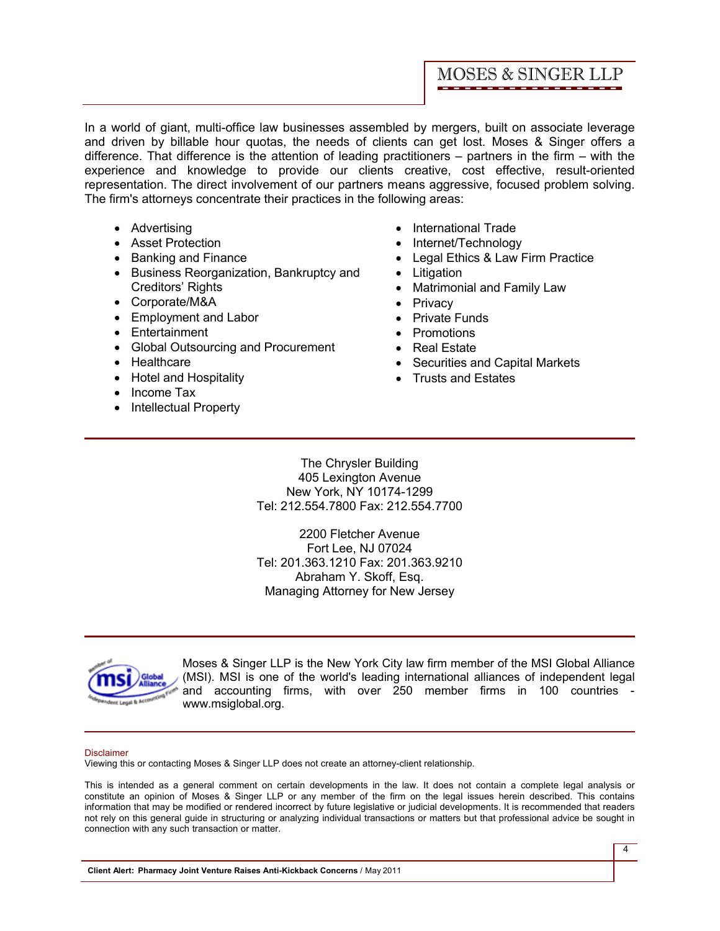In a world of giant, multi-office law businesses assembled by mergers, built on associate leverage and driven by billable hour quotas, the needs of clients can get lost. Moses & Singer offers a difference. That difference is the attention of leading practitioners – partners in the firm – with the experience and knowledge to provide our clients creative, cost effective, result-oriented representation. The direct involvement of our partners means aggressive, focused problem solving. The firm's attorneys concentrate their practices in the following areas:

- · Advertising
- · Asset Protection
- · Banking and Finance
- · Business Reorganization, Bankruptcy and Creditors' Rights
- · Corporate/M&A
- · Employment and Labor
- · Entertainment
- Global Outsourcing and Procurement
- · Healthcare
- · Hotel and Hospitality
- Income Tax
- Intellectual Property
- · International Trade
- · Internet/Technology
- · Legal Ethics & Law Firm Practice
- · Litigation
- · Matrimonial and Family Law
- · Privacy
- · Private Funds
- · Promotions
- · Real Estate
- · Securities and Capital Markets
- · Trusts and Estates

The Chrysler Building 405 Lexington Avenue New York, NY 10174-1299 Tel: 212.554.7800 Fax: 212.554.7700

2200 Fletcher Avenue Fort Lee, NJ 07024 Tel: 201.363.1210 Fax: 201.363.9210 Abraham Y. Skoff, Esq. Managing Attorney for New Jersey



Moses & Singer LLP is the New York City law firm member of the MSI Global Alliance (MSI). MSI is one of the world's leading international alliances of independent legal and accounting firms, with over 250 member firms in 100 countries <www.msiglobal.org.>

#### Disclaimer

Viewing this or contacting Moses & Singer LLP does not create an attorney-client relationship.

This is intended as a general comment on certain developments in the law. It does not contain a complete legal analysis or constitute an opinion of Moses & Singer LLP or any member of the firm on the legal issues herein described. This contains information that may be modified or rendered incorrect by future legislative or judicial developments. It is recommended that readers not rely on this general guide in structuring or analyzing individual transactions or matters but that professional advice be sought in connection with any such transaction or matter.